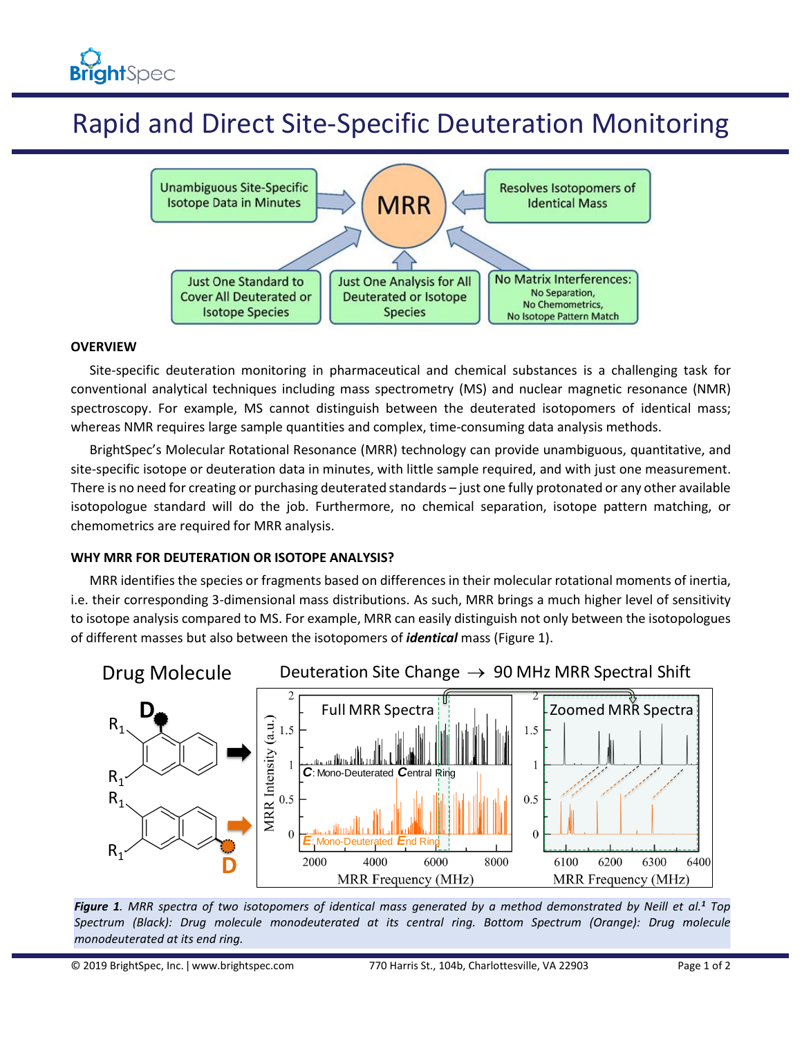# Rapid and Direct Site-Specific Deuteration Monitoring



### **OVERVIEW**

Site-specific deuteration monitoring in pharmaceutical and chemical substances is a challenging task for conventional analytical techniques including mass spectrometry (MS) and nuclear magnetic resonance (NMR) spectroscopy. For example, MS cannot distinguish between the deuterated isotopomers of identical mass; whereas NMR requires large sample quantities and complex, time-consuming data analysis methods.

BrightSpec's Molecular Rotational Resonance (MRR) technology can provide unambiguous, quantitative, and site-specific isotope or deuteration data in minutes, with little sample required, and with just one measurement. There is no need for creating or purchasing deuterated standards – just one fully protonated or any other available isotopologue standard will do the job. Furthermore, no chemical separation, isotope pattern matching, or chemometrics are required for MRR analysis.

### **WHY MRR FOR DEUTERATION OR ISOTOPE ANALYSIS?**

MRR identifies the species or fragments based on differences in their molecular rotational moments of inertia, i.e. their corresponding 3-dimensional mass distributions. As such, MRR brings a much higher level of sensitivity to isotope analysis compared to MS. For example, MRR can easily distinguish not only between the isotopologues of different masses but also between the isotopomers of *identical* mass (Figure 1).



*Figure 1. MRR spectra of two isotopomers of identical mass generated by a method demonstrated by Neill et al.<sup>1</sup> Top Spectrum (Black): Drug molecule monodeuterated at its central ring. Bottom Spectrum (Orange): Drug molecule monodeuterated at its end ring.*